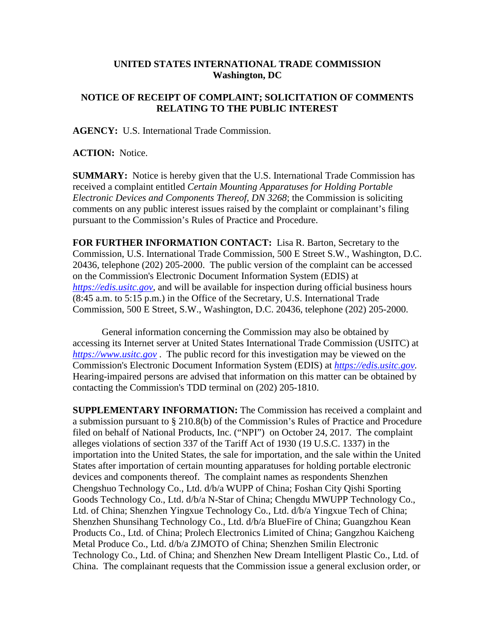## **UNITED STATES INTERNATIONAL TRADE COMMISSION Washington, DC**

## **NOTICE OF RECEIPT OF COMPLAINT; SOLICITATION OF COMMENTS RELATING TO THE PUBLIC INTEREST**

**AGENCY:** U.S. International Trade Commission.

**ACTION:** Notice.

**SUMMARY:** Notice is hereby given that the U.S. International Trade Commission has received a complaint entitled *Certain Mounting Apparatuses for Holding Portable Electronic Devices and Components Thereof, DN 3268*; the Commission is soliciting comments on any public interest issues raised by the complaint or complainant's filing pursuant to the Commission's Rules of Practice and Procedure.

**FOR FURTHER INFORMATION CONTACT:** Lisa R. Barton, Secretary to the Commission, U.S. International Trade Commission, 500 E Street S.W., Washington, D.C. 20436, telephone (202) 205-2000. The public version of the complaint can be accessed on the Commission's Electronic Document Information System (EDIS) at *[https://edis.usitc.gov](https://edis.usitc.gov/)*, and will be available for inspection during official business hours (8:45 a.m. to 5:15 p.m.) in the Office of the Secretary, U.S. International Trade Commission, 500 E Street, S.W., Washington, D.C. 20436, telephone (202) 205-2000.

General information concerning the Commission may also be obtained by accessing its Internet server at United States International Trade Commission (USITC) at *[https://www.usitc.gov](https://www.usitc.gov/)* . The public record for this investigation may be viewed on the Commission's Electronic Document Information System (EDIS) at *[https://edis.usitc.gov.](https://edis.usitc.gov/)* Hearing-impaired persons are advised that information on this matter can be obtained by contacting the Commission's TDD terminal on (202) 205-1810.

**SUPPLEMENTARY INFORMATION:** The Commission has received a complaint and a submission pursuant to § 210.8(b) of the Commission's Rules of Practice and Procedure filed on behalf of National Products, Inc. ("NPI") on October 24, 2017. The complaint alleges violations of section 337 of the Tariff Act of 1930 (19 U.S.C. 1337) in the importation into the United States, the sale for importation, and the sale within the United States after importation of certain mounting apparatuses for holding portable electronic devices and components thereof. The complaint names as respondents Shenzhen Chengshuo Technology Co., Ltd. d/b/a WUPP of China; Foshan City Qishi Sporting Goods Technology Co., Ltd. d/b/a N-Star of China; Chengdu MWUPP Technology Co., Ltd. of China; Shenzhen Yingxue Technology Co., Ltd. d/b/a Yingxue Tech of China; Shenzhen Shunsihang Technology Co., Ltd. d/b/a BlueFire of China; Guangzhou Kean Products Co., Ltd. of China; Prolech Electronics Limited of China; Gangzhou Kaicheng Metal Produce Co., Ltd. d/b/a ZJMOTO of China; Shenzhen Smilin Electronic Technology Co., Ltd. of China; and Shenzhen New Dream Intelligent Plastic Co., Ltd. of China. The complainant requests that the Commission issue a general exclusion order, or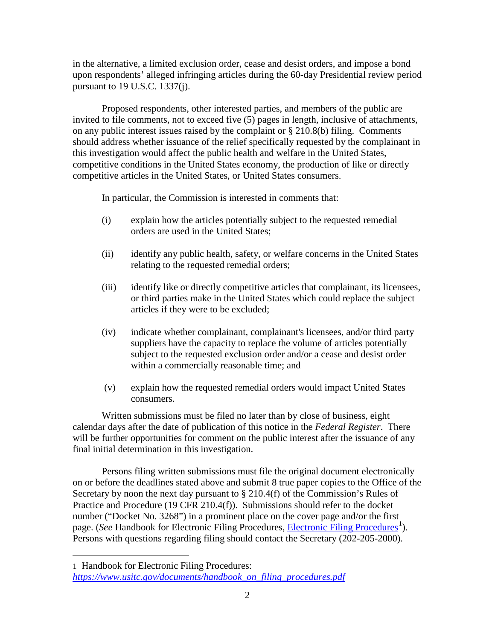in the alternative, a limited exclusion order, cease and desist orders, and impose a bond upon respondents' alleged infringing articles during the 60-day Presidential review period pursuant to 19 U.S.C. 1337(j).

Proposed respondents, other interested parties, and members of the public are invited to file comments, not to exceed five (5) pages in length, inclusive of attachments, on any public interest issues raised by the complaint or § 210.8(b) filing. Comments should address whether issuance of the relief specifically requested by the complainant in this investigation would affect the public health and welfare in the United States, competitive conditions in the United States economy, the production of like or directly competitive articles in the United States, or United States consumers.

In particular, the Commission is interested in comments that:

- (i) explain how the articles potentially subject to the requested remedial orders are used in the United States;
- (ii) identify any public health, safety, or welfare concerns in the United States relating to the requested remedial orders;
- (iii) identify like or directly competitive articles that complainant, its licensees, or third parties make in the United States which could replace the subject articles if they were to be excluded;
- (iv) indicate whether complainant, complainant's licensees, and/or third party suppliers have the capacity to replace the volume of articles potentially subject to the requested exclusion order and/or a cease and desist order within a commercially reasonable time; and
- (v) explain how the requested remedial orders would impact United States consumers.

Written submissions must be filed no later than by close of business, eight calendar days after the date of publication of this notice in the *Federal Register*. There will be further opportunities for comment on the public interest after the issuance of any final initial determination in this investigation.

Persons filing written submissions must file the original document electronically on or before the deadlines stated above and submit 8 true paper copies to the Office of the Secretary by noon the next day pursuant to § 210.4(f) of the Commission's Rules of Practice and Procedure (19 CFR 210.4(f)). Submissions should refer to the docket number ("Docket No. 3268") in a prominent place on the cover page and/or the first page. (*See* Handbook for [Electronic Filing Procedures](https://www.usitc.gov/documents/handbook_on_filing_procedures.pdf), *Electronic Filing Procedures*<sup>[1](#page-1-0)</sup>). Persons with questions regarding filing should contact the Secretary (202-205-2000).

 $\overline{a}$ 

<span id="page-1-0"></span><sup>1</sup> Handbook for Electronic Filing Procedures: *[https://www.usitc.gov/documents/handbook\\_on\\_filing\\_procedures.pdf](https://www.usitc.gov/documents/handbook_on_filing_procedures.pdf)*